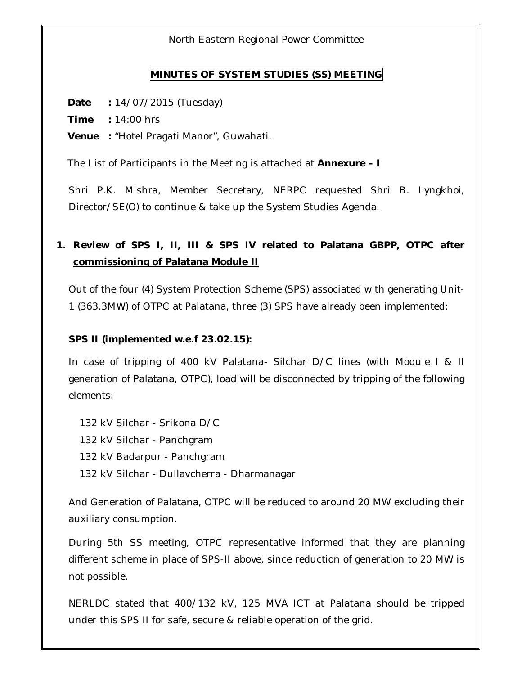North Eastern Regional Power Committee

#### **MINUTES OF SYSTEM STUDIES (SS) MEETING**

**Date :** 14/07/2015 (Tuesday)

**Time :** 14:00 hrs

**Venue :** "Hotel Pragati Manor", Guwahati.

The List of Participants in the Meeting is attached at **Annexure – I**

Shri P.K. Mishra, Member Secretary, NERPC requested Shri B. Lyngkhoi, Director/SE(O) to continue & take up the System Studies Agenda.

## **1. Review of SPS I, II, III & SPS IV related to Palatana GBPP, OTPC after commissioning of Palatana Module II**

Out of the four (4) System Protection Scheme (SPS) associated with generating Unit-1 (363.3MW) of OTPC at Palatana, three (3) SPS have already been implemented:

#### **SPS II (implemented w.e.f 23.02.15):**

In case of tripping of 400 kV Palatana- Silchar D/C lines (with Module I & II generation of Palatana, OTPC), load will be disconnected by tripping of the following elements:

132 kV Silchar - Srikona D/C 132 kV Silchar - Panchgram 132 kV Badarpur - Panchgram 132 kV Silchar - Dullavcherra - Dharmanagar

And Generation of Palatana, OTPC will be reduced to around 20 MW excluding their auxiliary consumption.

During 5th SS meeting, OTPC representative informed that they are planning different scheme in place of SPS-II above, since reduction of generation to 20 MW is not possible.

NERLDC stated that 400/132 kV, 125 MVA ICT at Palatana should be tripped under this SPS II for safe, secure & reliable operation of the grid.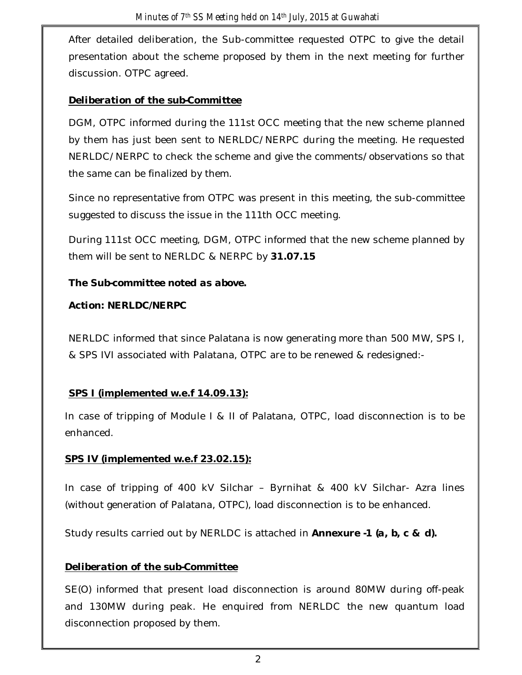After detailed deliberation, the Sub-committee requested OTPC to give the detail presentation about the scheme proposed by them in the next meeting for further discussion. OTPC agreed.

## *Deliberation of the sub-Committee*

DGM, OTPC informed during the 111st OCC meeting that the new scheme planned by them has just been sent to NERLDC/NERPC during the meeting. He requested NERLDC/NERPC to check the scheme and give the comments/observations so that the same can be finalized by them.

Since no representative from OTPC was present in this meeting, the sub-committee suggested to discuss the issue in the 111th OCC meeting.

During 111st OCC meeting, DGM, OTPC informed that the new scheme planned by them will be sent to NERLDC & NERPC by **31.07.15** 

## *The Sub-committee noted as above.*

### *Action: NERLDC/NERPC*

NERLDC informed that since Palatana is now generating more than 500 MW, SPS I, & SPS IVI associated with Palatana, OTPC are to be renewed & redesigned:-

## **SPS I (implemented w.e.f 14.09.13):**

In case of tripping of Module I & II of Palatana, OTPC, load disconnection is to be enhanced.

## **SPS IV (implemented w.e.f 23.02.15):**

In case of tripping of 400 kV Silchar – Byrnihat & 400 kV Silchar- Azra lines (without generation of Palatana, OTPC), load disconnection is to be enhanced.

Study results carried out by NERLDC is attached in *Annexure -1 (a, b, c & d).*

## *Deliberation of the sub-Committee*

SE(O) informed that present load disconnection is around 80MW during off-peak and 130MW during peak. He enquired from NERLDC the new quantum load disconnection proposed by them.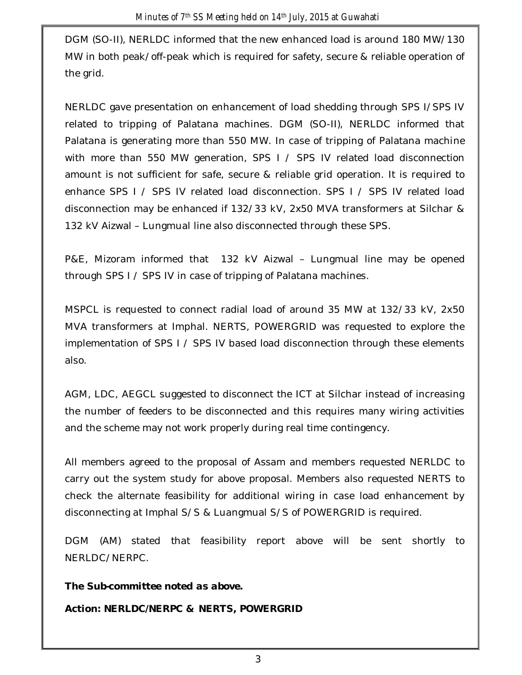DGM (SO-II), NERLDC informed that the new enhanced load is around 180 MW/130 MW in both peak/off-peak which is required for safety, secure & reliable operation of the grid.

NERLDC gave presentation on enhancement of load shedding through SPS I/SPS IV related to tripping of Palatana machines. DGM (SO-II), NERLDC informed that Palatana is generating more than 550 MW. In case of tripping of Palatana machine with more than 550 MW generation, SPS I / SPS IV related load disconnection amount is not sufficient for safe, secure & reliable grid operation. It is required to enhance SPS I / SPS IV related load disconnection. SPS I / SPS IV related load disconnection may be enhanced if 132/33 kV, 2x50 MVA transformers at Silchar & 132 kV Aizwal – Lungmual line also disconnected through these SPS.

P&E, Mizoram informed that 132 kV Aizwal – Lungmual line may be opened through SPS I / SPS IV in case of tripping of Palatana machines.

MSPCL is requested to connect radial load of around 35 MW at 132/33 kV, 2x50 MVA transformers at Imphal. NERTS, POWERGRID was requested to explore the implementation of SPS I / SPS IV based load disconnection through these elements also.

AGM, LDC, AEGCL suggested to disconnect the ICT at Silchar instead of increasing the number of feeders to be disconnected and this requires many wiring activities and the scheme may not work properly during real time contingency.

All members agreed to the proposal of Assam and members requested NERLDC to carry out the system study for above proposal. Members also requested NERTS to check the alternate feasibility for additional wiring in case load enhancement by disconnecting at Imphal S/S & Luangmual S/S of POWERGRID is required.

DGM (AM) stated that feasibility report above will be sent shortly to NERLDC/NERPC.

*The Sub-committee noted as above. Action: NERLDC/NERPC & NERTS, POWERGRID*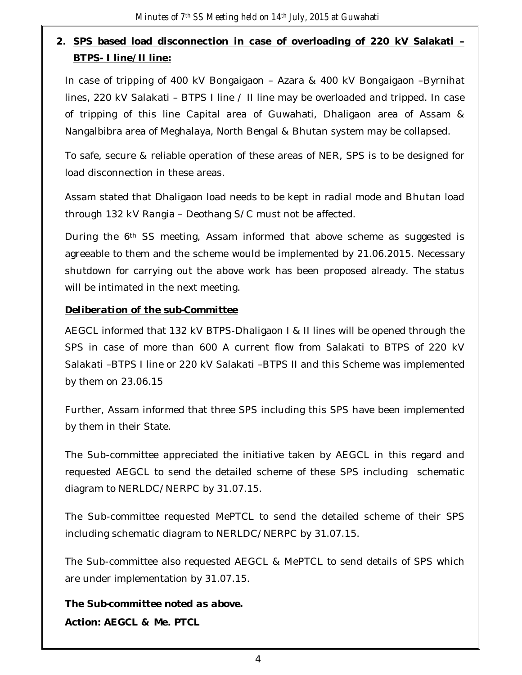## **2. SPS based load disconnection in case of overloading of 220 kV Salakati – BTPS- I line/II line:**

In case of tripping of 400 kV Bongaigaon – Azara & 400 kV Bongaigaon –Byrnihat lines, 220 kV Salakati – BTPS I line / II line may be overloaded and tripped. In case of tripping of this line Capital area of Guwahati, Dhaligaon area of Assam & Nangalbibra area of Meghalaya, North Bengal & Bhutan system may be collapsed.

To safe, secure & reliable operation of these areas of NER, SPS is to be designed for load disconnection in these areas.

Assam stated that Dhaligaon load needs to be kept in radial mode and Bhutan load through 132 kV Rangia – Deothang S/C must not be affected.

During the 6<sup>th</sup> SS meeting, Assam informed that above scheme as suggested is agreeable to them and the scheme would be implemented by 21.06.2015. Necessary shutdown for carrying out the above work has been proposed already. The status will be intimated in the next meeting.

#### *Deliberation of the sub-Committee*

AEGCL informed that 132 kV BTPS-Dhaligaon I & II lines will be opened through the SPS in case of more than 600 A current flow from Salakati to BTPS of 220 kV Salakati –BTPS I line or 220 kV Salakati –BTPS II and this Scheme was implemented by them on 23.06.15

Further, Assam informed that three SPS including this SPS have been implemented by them in their State.

The Sub-committee appreciated the initiative taken by AEGCL in this regard and requested AEGCL to send the detailed scheme of these SPS including schematic diagram to NERLDC/NERPC by 31.07.15.

The Sub-committee requested MePTCL to send the detailed scheme of their SPS including schematic diagram to NERLDC/NERPC by 31.07.15.

The Sub-committee also requested AEGCL & MePTCL to send details of SPS which are under implementation by 31.07.15.

*The Sub-committee noted as above. Action: AEGCL & Me. PTCL*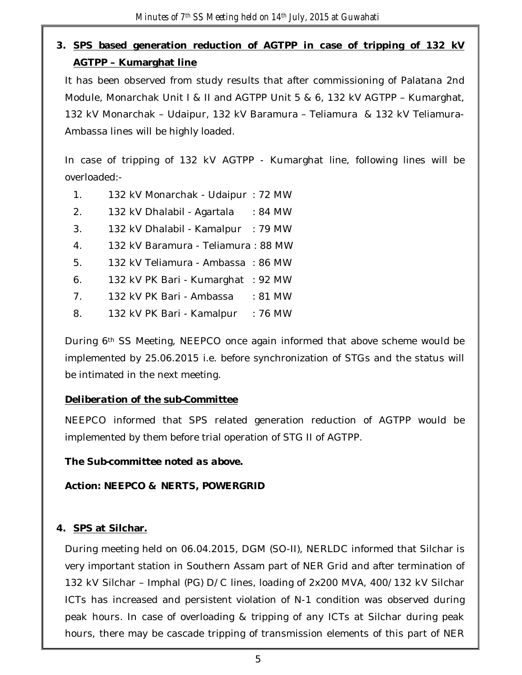## **3. SPS based generation reduction of AGTPP in case of tripping of 132 kV AGTPP – Kumarghat line**

It has been observed from study results that after commissioning of Palatana 2nd Module, Monarchak Unit I & II and AGTPP Unit 5 & 6, 132 kV AGTPP – Kumarghat, 132 kV Monarchak – Udaipur, 132 kV Baramura – Teliamura & 132 kV Teliamura-Ambassa lines will be highly loaded.

In case of tripping of 132 kV AGTPP - Kumarghat line, following lines will be overloaded:-

- 1. 132 kV Monarchak Udaipur : 72 MW
- 2. 132 kV Dhalabil Agartala : 84 MW
- 3. 132 kV Dhalabil Kamalpur : 79 MW
- 4. 132 kV Baramura Teliamura : 88 MW
- 5. 132 kV Teliamura Ambassa : 86 MW
- 6. 132 kV PK Bari Kumarghat : 92 MW
- 7. 132 kV PK Bari Ambassa : 81 MW
- 8. 132 kV PK Bari Kamalpur : 76 MW

During 6th SS Meeting, NEEPCO once again informed that above scheme would be implemented by 25.06.2015 i.e. before synchronization of STGs and the status will be intimated in the next meeting.

#### *Deliberation of the sub-Committee*

NEEPCO informed that SPS related generation reduction of AGTPP would be implemented by them before trial operation of STG II of AGTPP.

*The Sub-committee noted as above.*

*Action: NEEPCO & NERTS, POWERGRID*

## **4. SPS at Silchar.**

During meeting held on 06.04.2015, DGM (SO-II), NERLDC informed that Silchar is very important station in Southern Assam part of NER Grid and after termination of 132 kV Silchar – Imphal (PG) D/C lines, loading of 2x200 MVA, 400/132 kV Silchar ICTs has increased and persistent violation of N-1 condition was observed during peak hours. In case of overloading & tripping of any ICTs at Silchar during peak hours, there may be cascade tripping of transmission elements of this part of NER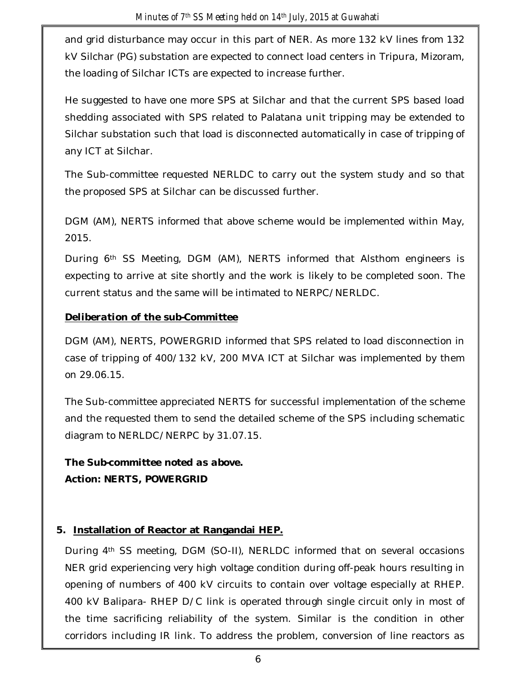and grid disturbance may occur in this part of NER. As more 132 kV lines from 132 kV Silchar (PG) substation are expected to connect load centers in Tripura, Mizoram, the loading of Silchar ICTs are expected to increase further.

He suggested to have one more SPS at Silchar and that the current SPS based load shedding associated with SPS related to Palatana unit tripping may be extended to Silchar substation such that load is disconnected automatically in case of tripping of any ICT at Silchar.

The Sub-committee requested NERLDC to carry out the system study and so that the proposed SPS at Silchar can be discussed further.

DGM (AM), NERTS informed that above scheme would be implemented within May, 2015.

During 6th SS Meeting, DGM (AM), NERTS informed that Alsthom engineers is expecting to arrive at site shortly and the work is likely to be completed soon. The current status and the same will be intimated to NERPC/NERLDC.

### *Deliberation of the sub-Committee*

DGM (AM), NERTS, POWERGRID informed that SPS related to load disconnection in case of tripping of 400/132 kV, 200 MVA ICT at Silchar was implemented by them on 29.06.15.

The Sub-committee appreciated NERTS for successful implementation of the scheme and the requested them to send the detailed scheme of the SPS including schematic diagram to NERLDC/NERPC by 31.07.15.

*The Sub-committee noted as above. Action: NERTS, POWERGRID*

## **5. Installation of Reactor at Rangandai HEP.**

During 4th SS meeting, DGM (SO-II), NERLDC informed that on several occasions NER grid experiencing very high voltage condition during off-peak hours resulting in opening of numbers of 400 kV circuits to contain over voltage especially at RHEP. 400 kV Balipara- RHEP D/C link is operated through single circuit only in most of the time sacrificing reliability of the system. Similar is the condition in other corridors including IR link. To address the problem, conversion of line reactors as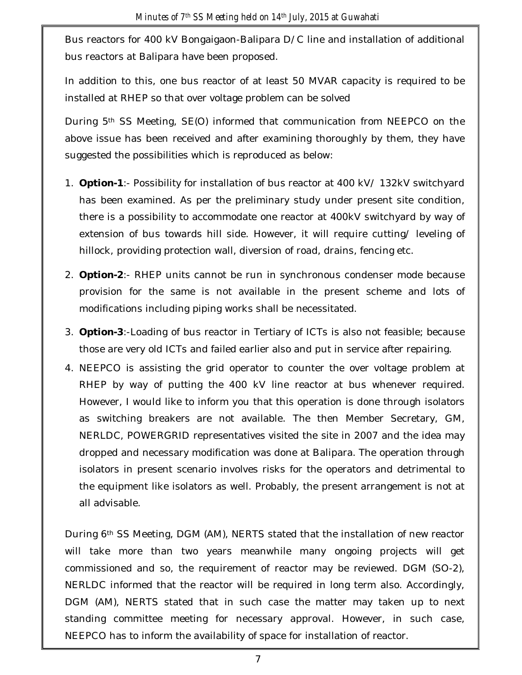Bus reactors for 400 kV Bongaigaon-Balipara D/C line and installation of additional bus reactors at Balipara have been proposed.

In addition to this, one bus reactor of at least 50 MVAR capacity is required to be installed at RHEP so that over voltage problem can be solved

During 5th SS Meeting, SE(O) informed that communication from NEEPCO on the above issue has been received and after examining thoroughly by them, they have suggested the possibilities which is reproduced as below:

- 1. **Option-1**:- Possibility for installation of bus reactor at 400 kV/ 132kV switchyard has been examined. As per the preliminary study under present site condition, there is a possibility to accommodate one reactor at 400kV switchyard by way of extension of bus towards hill side. However, it will require cutting/ leveling of hillock, providing protection wall, diversion of road, drains, fencing etc.
- 2. **Option-2**:- RHEP units cannot be run in synchronous condenser mode because provision for the same is not available in the present scheme and lots of modifications including piping works shall be necessitated.
- 3. **Option-3**:-Loading of bus reactor in Tertiary of ICTs is also not feasible; because those are very old ICTs and failed earlier also and put in service after repairing.
- 4. NEEPCO is assisting the grid operator to counter the over voltage problem at RHEP by way of putting the 400 kV line reactor at bus whenever required. However, I would like to inform you that this operation is done through isolators as switching breakers are not available. The then Member Secretary, GM, NERLDC, POWERGRID representatives visited the site in 2007 and the idea may dropped and necessary modification was done at Balipara. The operation through isolators in present scenario involves risks for the operators and detrimental to the equipment like isolators as well. Probably, the present arrangement is not at all advisable.

During 6th SS Meeting, DGM (AM), NERTS stated that the installation of new reactor will take more than two years meanwhile many ongoing projects will get commissioned and so, the requirement of reactor may be reviewed. DGM (SO-2), NERLDC informed that the reactor will be required in long term also. Accordingly, DGM (AM), NERTS stated that in such case the matter may taken up to next standing committee meeting for necessary approval. However, in such case, NEEPCO has to inform the availability of space for installation of reactor.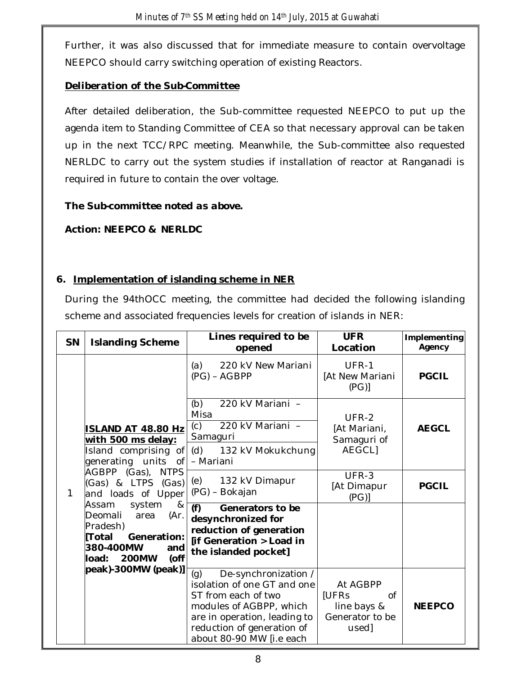Further, it was also discussed that for immediate measure to contain overvoltage NEEPCO should carry switching operation of existing Reactors.

### *Deliberation of the Sub-Committee*

After detailed deliberation, the Sub-committee requested NEEPCO to put up the agenda item to Standing Committee of CEA so that necessary approval can be taken up in the next TCC/RPC meeting. Meanwhile, the Sub-committee also requested NERLDC to carry out the system studies if installation of reactor at Ranganadi is required in future to contain the over voltage.

### *The Sub-committee noted as above.*

### *Action: NEEPCO & NERLDC*

## **6. Implementation of islanding scheme in NER**

During the 94thOCC meeting, the committee had decided the following islanding scheme and associated frequencies levels for creation of islands in NER:

| SN | <b>Islanding Scheme</b>                                                                                                                                                                                                                                                                                                                      | Lines required to be<br>opened                                                                                                                                                                         | <b>UFR</b><br>Location                                             | Implementing<br>Agency |
|----|----------------------------------------------------------------------------------------------------------------------------------------------------------------------------------------------------------------------------------------------------------------------------------------------------------------------------------------------|--------------------------------------------------------------------------------------------------------------------------------------------------------------------------------------------------------|--------------------------------------------------------------------|------------------------|
| 1  | <b>ISLAND AT 48.80 Hz</b><br>with 500 ms delay:<br>Island comprising of<br>generating units<br>0f<br>AGBPP (Gas), NTPS<br>(Gas) & LTPS (Gas)<br>and loads of Upper<br>Assam<br>system<br>&<br>(Ar.<br>Deomali<br>area<br>Pradesh)<br><b>Total</b><br>Generation:<br>380-400MW<br>and<br>(off<br><b>200MW</b><br>load:<br>peak)-300MW (peak)] | 220 kV New Mariani<br>(a)<br>$(PG) - AGBPP$                                                                                                                                                            | UFR-1<br>[At New Mariani<br>(PG)                                   | <b>PGCIL</b>           |
|    |                                                                                                                                                                                                                                                                                                                                              | 220 kV Mariani -<br>(b)<br>Misa<br>220 kV Mariani -<br>(c)<br>Samaguri<br>(d)<br>132 kV Mokukchung                                                                                                     | UFR-2<br>[At Mariani,<br>Samaguri of<br>AEGCL]                     | <b>AEGCL</b>           |
|    |                                                                                                                                                                                                                                                                                                                                              | - Mariani<br>(e)<br>132 kV Dimapur<br>(PG) - Bokajan                                                                                                                                                   | UFR-3<br>[At Dimapur<br>(PG)                                       | <b>PGCIL</b>           |
|    |                                                                                                                                                                                                                                                                                                                                              | (f)<br>Generators to be<br>desynchronized for<br>reduction of generation<br>[if Generation > Load in<br>the islanded pocket]                                                                           |                                                                    |                        |
|    |                                                                                                                                                                                                                                                                                                                                              | (g)<br>De-synchronization /<br>isolation of one GT and one<br>ST from each of two<br>modules of AGBPP, which<br>are in operation, leading to<br>reduction of generation of<br>about 80-90 MW [i.e each | At AGBPP<br>[UFRs<br>0f<br>line bays &<br>Generator to be<br>used] | <b>NEEPCO</b>          |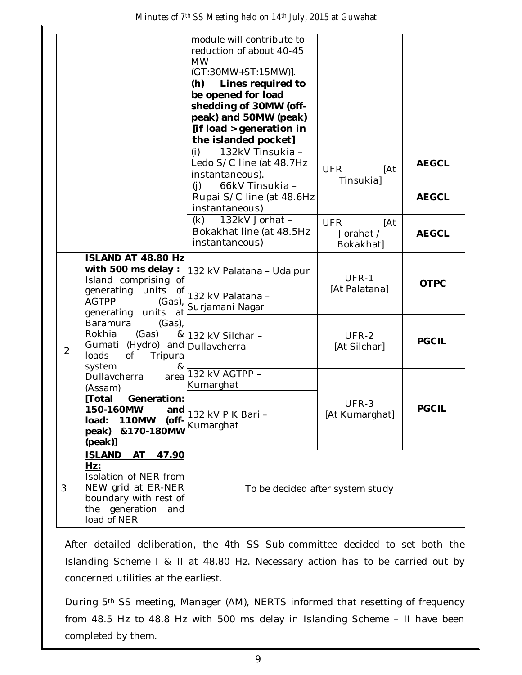|                |                                                                                                                                                                                                                                                            | module will contribute to<br>reduction of about 40-45<br><b>MW</b><br>(GT:30MW+ST:15MW)].<br>Lines required to<br>(h)<br>be opened for load<br>shedding of 30MW (off-<br>peak) and 50MW (peak)<br>[if load > generation in<br>the islanded pocket] |                                             |              |
|----------------|------------------------------------------------------------------------------------------------------------------------------------------------------------------------------------------------------------------------------------------------------------|----------------------------------------------------------------------------------------------------------------------------------------------------------------------------------------------------------------------------------------------------|---------------------------------------------|--------------|
|                |                                                                                                                                                                                                                                                            | 132kV Tinsukia -<br>(i)<br>Ledo S/C line (at 48.7Hz<br>instantaneous).                                                                                                                                                                             | <b>UFR</b><br>[At<br><b>Tinsukia</b> ]      | <b>AEGCL</b> |
|                |                                                                                                                                                                                                                                                            | 66kV Tinsukia -<br>(i)<br>Rupai S/C line (at 48.6Hz<br>instantaneous)                                                                                                                                                                              |                                             | <b>AEGCL</b> |
|                |                                                                                                                                                                                                                                                            | 132kV Jorhat -<br>(k)<br>Bokakhat line (at 48.5Hz<br>instantaneous)                                                                                                                                                                                | <b>UFR</b><br>[At<br>Jorahat /<br>Bokakhat] | <b>AEGCL</b> |
| $\overline{2}$ | <b>ISLAND AT 48.80 Hz</b><br>Island comprising of<br>generating units<br>of<br><b>AGTPP</b><br>$(Gas)$ ,<br>generating units<br>at<br>Baramura<br>$(Gas)$ ,<br>(Gas)<br>Rokhia<br>Gumati (Hydro) and Dullavcherra<br>loads<br>of<br>Tripura<br>system<br>& | with 500 ms delay : 132 kV Palatana - Udaipur<br>132 kV Palatana -<br>Surjamani Nagar                                                                                                                                                              | UFR-1<br>[At Palatana]                      | <b>OTPC</b>  |
|                |                                                                                                                                                                                                                                                            | & 132 kV Silchar -                                                                                                                                                                                                                                 | UFR-2<br>[At Silchar]                       | <b>PGCIL</b> |
|                | Dullavcherra<br>area<br>(Assam)<br>Generation:<br>[Total<br>150-160MW<br><b>110MW</b><br>load:<br>&170-180MW<br>peak)<br>(peak)]                                                                                                                           | 132 kV AGTPP -<br>Kumarghat<br>$\frac{1}{2}$ (off- $\frac{1}{2}$ 132 kV P K Bari -<br>Kumarghat                                                                                                                                                    | UFR-3<br>[At Kumarghat]                     | <b>PGCIL</b> |
| 3              | <b>ISLAND</b><br>AT<br>47.90<br>Hz:<br>Isolation of NER from<br>NEW grid at ER-NER<br>boundary with rest of<br>the generation<br>and<br>load of NER                                                                                                        |                                                                                                                                                                                                                                                    | To be decided after system study            |              |

After detailed deliberation, the 4th SS Sub-committee decided to set both the Islanding Scheme I & II at 48.80 Hz. Necessary action has to be carried out by concerned utilities at the earliest.

During 5th SS meeting, Manager (AM), NERTS informed that resetting of frequency from 48.5 Hz to 48.8 Hz with 500 ms delay in Islanding Scheme – II have been completed by them.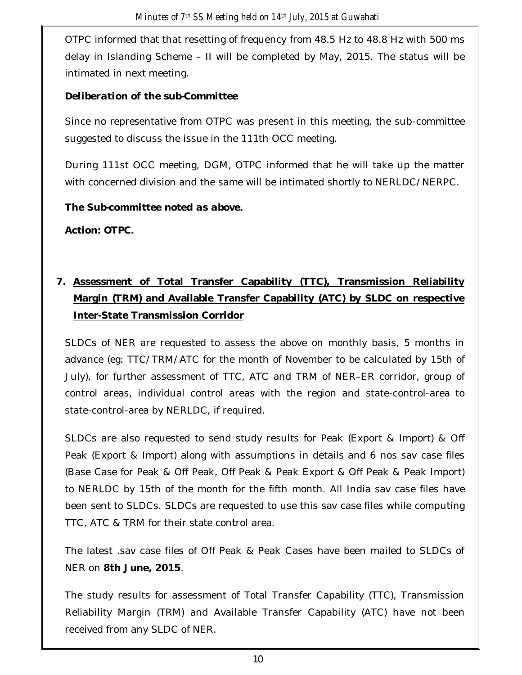OTPC informed that that resetting of frequency from 48.5 Hz to 48.8 Hz with 500 ms delay in Islanding Scheme – II will be completed by May, 2015. The status will be intimated in next meeting.

## *Deliberation of the sub-Committee*

Since no representative from OTPC was present in this meeting, the sub-committee suggested to discuss the issue in the 111th OCC meeting.

During 111st OCC meeting, DGM, OTPC informed that he will take up the matter with concerned division and the same will be intimated shortly to NERLDC/NERPC.

*The Sub-committee noted as above.*

*Action: OTPC.*

# **7. Assessment of Total Transfer Capability (TTC), Transmission Reliability Margin (TRM) and Available Transfer Capability (ATC) by SLDC on respective Inter-State Transmission Corridor**

SLDCs of NER are requested to assess the above on monthly basis, 5 months in advance (eg: TTC/TRM/ATC for the month of November to be calculated by 15th of July), for further assessment of TTC, ATC and TRM of NER–ER corridor, group of control areas, individual control areas with the region and state-control-area to state-control-area by NERLDC, if required.

SLDCs are also requested to send study results for Peak (Export & Import) & Off Peak (Export & Import) along with assumptions in details and 6 nos sav case files (Base Case for Peak & Off Peak, Off Peak & Peak Export & Off Peak & Peak Import) to NERLDC by 15th of the month for the fifth month. All India sav case files have been sent to SLDCs. SLDCs are requested to use this sav case files while computing TTC, ATC & TRM for their state control area.

The latest .sav case files of Off Peak & Peak Cases have been mailed to SLDCs of NER on **8th June, 2015**.

The study results for assessment of Total Transfer Capability (TTC), Transmission Reliability Margin (TRM) and Available Transfer Capability (ATC) have not been received from any SLDC of NER.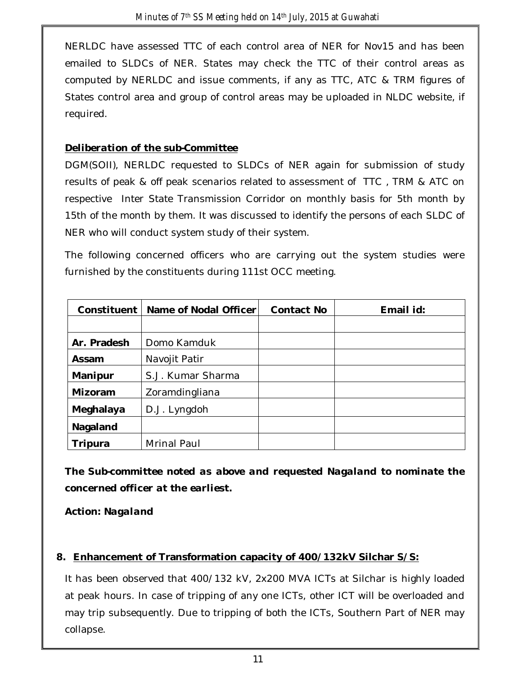NERLDC have assessed TTC of each control area of NER for Nov15 and has been emailed to SLDCs of NER. States may check the TTC of their control areas as computed by NERLDC and issue comments, if any as TTC, ATC & TRM figures of States control area and group of control areas may be uploaded in NLDC website, if required.

### *Deliberation of the sub-Committee*

DGM(SOII), NERLDC requested to SLDCs of NER again for submission of study results of peak & off peak scenarios related to assessment of TTC , TRM & ATC on respective Inter State Transmission Corridor on monthly basis for 5th month by 15th of the month by them. It was discussed to identify the persons of each SLDC of NER who will conduct system study of their system.

The following concerned officers who are carrying out the system studies were furnished by the constituents during 111st OCC meeting.

| Constituent | Name of Nodal Officer | <b>Contact No</b> | Email id: |
|-------------|-----------------------|-------------------|-----------|
|             |                       |                   |           |
| Ar. Pradesh | Domo Kamduk           |                   |           |
| Assam       | Navojit Patir         |                   |           |
| Manipur     | S.J. Kumar Sharma     |                   |           |
| Mizoram     | Zoramdingliana        |                   |           |
| Meghalaya   | D.J. Lyngdoh          |                   |           |
| Nagaland    |                       |                   |           |
| Tripura     | Mrinal Paul           |                   |           |

*The Sub-committee noted as above and requested Nagaland to nominate the concerned officer at the earliest.*

#### *Action: Nagaland*

#### **8. Enhancement of Transformation capacity of 400/132kV Silchar S/S:**

It has been observed that 400/132 kV, 2x200 MVA ICTs at Silchar is highly loaded at peak hours. In case of tripping of any one ICTs, other ICT will be overloaded and may trip subsequently. Due to tripping of both the ICTs, Southern Part of NER may collapse.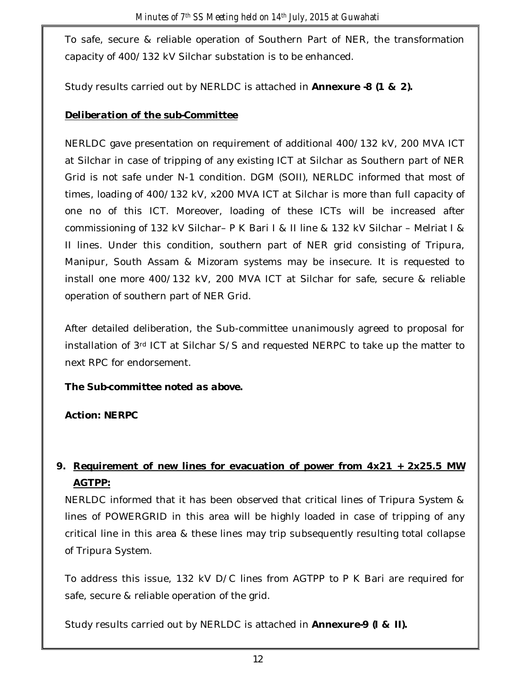To safe, secure & reliable operation of Southern Part of NER, the transformation capacity of 400/132 kV Silchar substation is to be enhanced.

Study results carried out by NERLDC is attached in *Annexure -8 (1 & 2).*

## *Deliberation of the sub-Committee*

NERLDC gave presentation on requirement of additional 400/132 kV, 200 MVA ICT at Silchar in case of tripping of any existing ICT at Silchar as Southern part of NER Grid is not safe under N-1 condition. DGM (SOII), NERLDC informed that most of times, loading of 400/132 kV, x200 MVA ICT at Silchar is more than full capacity of one no of this ICT. Moreover, loading of these ICTs will be increased after commissioning of 132 kV Silchar– P K Bari I & II line & 132 kV Silchar – Melriat I & II lines. Under this condition, southern part of NER grid consisting of Tripura, Manipur, South Assam & Mizoram systems may be insecure. It is requested to install one more 400/132 kV, 200 MVA ICT at Silchar for safe, secure & reliable operation of southern part of NER Grid.

After detailed deliberation, the Sub-committee unanimously agreed to proposal for installation of 3rd ICT at Silchar S/S and requested NERPC to take up the matter to next RPC for endorsement.

*The Sub-committee noted as above.*

*Action: NERPC*

## **9. Requirement of new lines for evacuation of power from 4x21 + 2x25.5 MW AGTPP:**

NERLDC informed that it has been observed that critical lines of Tripura System & lines of POWERGRID in this area will be highly loaded in case of tripping of any critical line in this area & these lines may trip subsequently resulting total collapse of Tripura System.

To address this issue, 132 kV D/C lines from AGTPP to P K Bari are required for safe, secure & reliable operation of the grid.

Study results carried out by NERLDC is attached in *Annexure-9 (I & II).*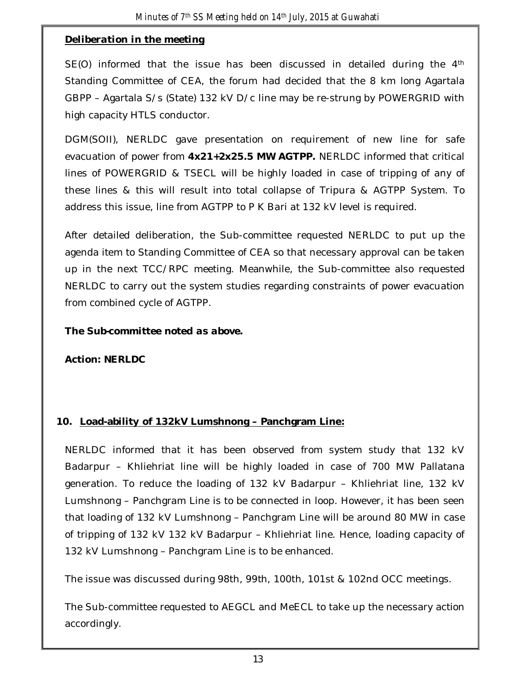### *Deliberation in the meeting*

SE(O) informed that the issue has been discussed in detailed during the 4th Standing Committee of CEA, the forum had decided that the 8 km long Agartala GBPP – Agartala S/s (State) 132 kV D/c line may be re-strung by POWERGRID with high capacity HTLS conductor.

DGM(SOII), NERLDC gave presentation on requirement of new line for safe evacuation of power from **4x21+2x25.5 MW AGTPP.** NERLDC informed that critical lines of POWERGRID & TSECL will be highly loaded in case of tripping of any of these lines & this will result into total collapse of Tripura & AGTPP System. To address this issue, line from AGTPP to P K Bari at 132 kV level is required.

After detailed deliberation, the Sub-committee requested NERLDC to put up the agenda item to Standing Committee of CEA so that necessary approval can be taken up in the next TCC/RPC meeting. Meanwhile, the Sub-committee also requested NERLDC to carry out the system studies regarding constraints of power evacuation from combined cycle of AGTPP.

#### *The Sub-committee noted as above.*

## *Action: NERLDC*

## **10. Load-ability of 132kV Lumshnong – Panchgram Line:**

NERLDC informed that it has been observed from system study that 132 kV Badarpur – Khliehriat line will be highly loaded in case of 700 MW Pallatana generation. To reduce the loading of 132 kV Badarpur – Khliehriat line, 132 kV Lumshnong – Panchgram Line is to be connected in loop. However, it has been seen that loading of 132 kV Lumshnong – Panchgram Line will be around 80 MW in case of tripping of 132 kV 132 kV Badarpur – Khliehriat line. Hence, loading capacity of 132 kV Lumshnong – Panchgram Line is to be enhanced.

The issue was discussed during 98th, 99th, 100th, 101st & 102nd OCC meetings.

The Sub-committee requested to AEGCL and MeECL to take up the necessary action accordingly.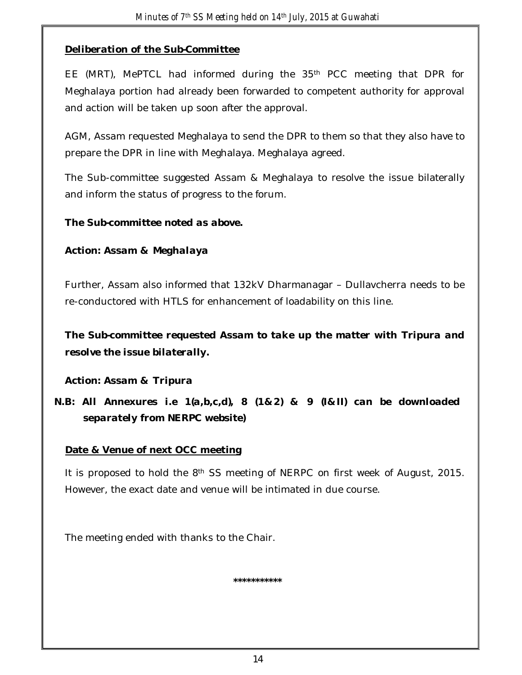## *Deliberation of the Sub-Committee*

EE (MRT), MePTCL had informed during the 35<sup>th</sup> PCC meeting that DPR for Meghalaya portion had already been forwarded to competent authority for approval and action will be taken up soon after the approval.

AGM, Assam requested Meghalaya to send the DPR to them so that they also have to prepare the DPR in line with Meghalaya. Meghalaya agreed.

The Sub-committee suggested Assam & Meghalaya to resolve the issue bilaterally and inform the status of progress to the forum.

#### *The Sub-committee noted as above.*

### *Action: Assam & Meghalaya*

Further, Assam also informed that 132kV Dharmanagar – Dullavcherra needs to be re-conductored with HTLS for enhancement of loadability on this line.

*The Sub-committee requested Assam to take up the matter with Tripura and resolve the issue bilaterally.*

*Action: Assam & Tripura*

*N.B: All Annexures i.e 1(a,b,c,d), 8 (1&2) & 9 (I&II) can be downloaded separately from NERPC website)*

## **Date & Venue of next OCC meeting**

It is proposed to hold the 8<sup>th</sup> SS meeting of NERPC on first week of August, 2015. However, the exact date and venue will be intimated in due course.

The meeting ended with thanks to the Chair.

**\*\*\*\*\*\*\*\*\*\*\***